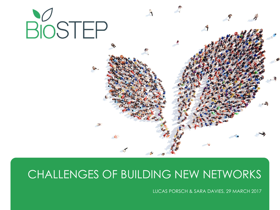

### CHALLENGES OF BUILDING NEW NETWORKS

LUCAS PORSCH & SARA DAVIES, 29 MARCH 2017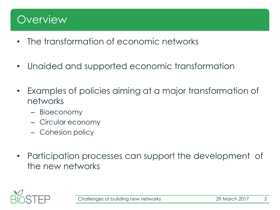### **Overview**

- The transformation of economic networks
- Unaided and supported economic transformation
- Examples of policies aiming at a major transformation of networks
	- Bioeconomy
	- Circular economy
	- Cohesion policy
- Participation processes can support the development of the new networks

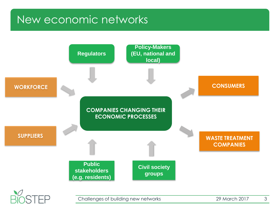### New economic networks

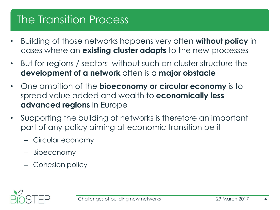## The Transition Process

- Building of those networks happens very often **without policy** in cases where an **existing cluster adapts** to the new processes
- But for regions / sectors without such an cluster structure the **development of a network** often is a **major obstacle**
- One ambition of the **bioeconomy or circular economy** is to spread value added and wealth to **economically less advanced regions** in Europe
- Supporting the building of networks is therefore an important part of any policy aiming at economic transition be it
	- Circular economy
	- Bioeconomy
	- Cohesion policy

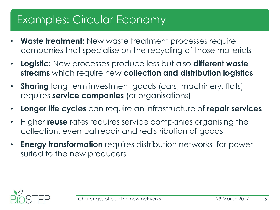### Examples: Circular Economy

- **Waste treatment:** New waste treatment processes require companies that specialise on the recycling of those materials
- **Logistic:** New processes produce less but also **different waste streams** which require new **collection and distribution logistics**
- **Sharing** long term investment goods (cars, machinery, flats) requires **service companies** (or organisations)
- **Longer life cycles** can require an infrastructure of **repair services**
- Higher **reuse** rates requires service companies organising the collection, eventual repair and redistribution of goods
- **Energy transformation** requires distribution networks for power suited to the new producers

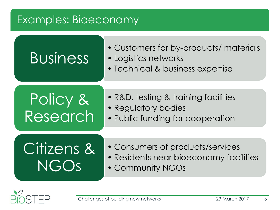### Examples: Bioeconomy

# Business

- Customers for by-products/ materials
- Logistics networks
- Technical & business expertise

## Policy & Research

- R&D, testing & training facilities
- Regulatory bodies
- Public funding for cooperation

## Citizens & NGOs

- Consumers of products/services
- Residents near bioeconomy facilities
- Community NGOs

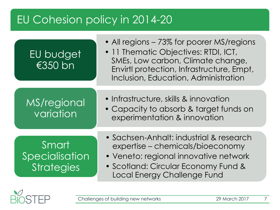## EU Cohesion policy in 2014-20



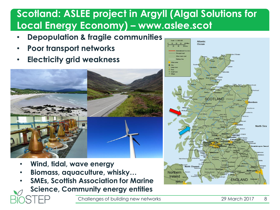### **Scotland: ASLEE project in Argyll (Algal Solutions for Local Energy Economy) – www.aslee.scot**

- **Depopulation & fragile communities**
- **Poor transport networks**
- **Electricity grid weakness**



- **Wind, tidal, wave energy**
- **Biomass, aquaculture, whisky…**
- **SMEs, Scottish Association for Marine**
- **Science, Community energy entities**

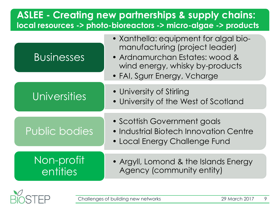### **ASLEE - Creating new partnerships & supply chains: local resources -> photo-bioreactors -> micro-algae -> products**

| <b>Businesses</b>      | • Xanthella: equipment for algal bio-<br>manufacturing (project leader)<br>• Ardnamurchan Estates: wood &<br>wind energy, whisky by-products<br>• FAI, Sgurr Energy, Vcharge |
|------------------------|------------------------------------------------------------------------------------------------------------------------------------------------------------------------------|
| <b>Universities</b>    | • University of Stirling<br>• University of the West of Scotland                                                                                                             |
| <b>Public bodies</b>   | • Scottish Government goals<br>• Industrial Biotech Innovation Centre<br>• Local Energy Challenge Fund                                                                       |
| Non-profit<br>entities | • Argyll, Lomond & the Islands Energy<br>Agency (community entity)                                                                                                           |

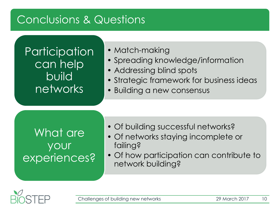### Conclusions & Questions

**Participation** can help build networks

#### • Match-making

- Spreading knowledge/information
- Addressing blind spots
- Strategic framework for business ideas
- Building a new consensus

### What are your experiences?

- Of building successful networks?
- Of networks staying incomplete or failing?
- Of how participation can contribute to network building?